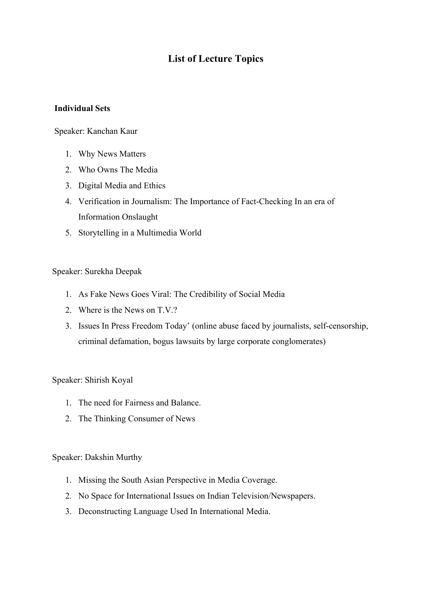# **List of Lecture Topics**

## **Individual Sets**

#### Speaker: Kanchan Kaur

- 1. Why News Matters
- 2. Who Owns The Media
- 3. Digital Media and Ethics
- 4. Verification in Journalism: The Importance of Fact-Checking In an era of Information Onslaught
- 5. Storytelling in a Multimedia World

## Speaker: Surekha Deepak

- 1. As Fake News Goes Viral: The Credibility of Social Media
- 2. Where is the News on T.V.?
- 3. Issues In Press Freedom Today' (online abuse faced by journalists, self-censorship, criminal defamation, bogus lawsuits by large corporate conglomerates)

#### Speaker: Shirish Koyal

- 1. The need for Fairness and Balance.
- 2. The Thinking Consumer of News

#### Speaker: Dakshin Murthy

- 1. Missing the South Asian Perspective in Media Coverage.
- 2. No Space for International Issues on Indian Television/Newspapers.
- 3. Deconstructing Language Used In International Media.